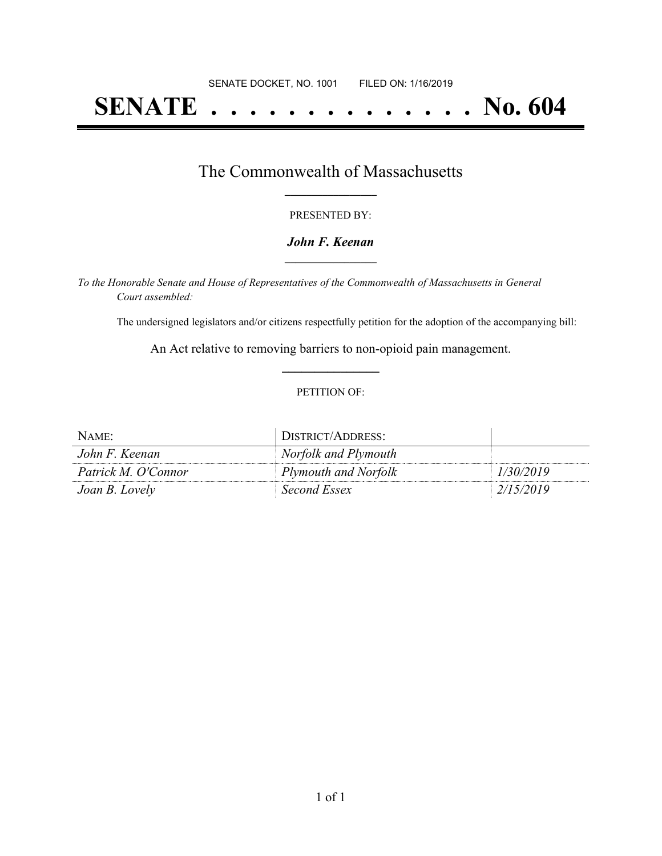# **SENATE . . . . . . . . . . . . . . No. 604**

### The Commonwealth of Massachusetts **\_\_\_\_\_\_\_\_\_\_\_\_\_\_\_\_\_**

#### PRESENTED BY:

#### *John F. Keenan* **\_\_\_\_\_\_\_\_\_\_\_\_\_\_\_\_\_**

*To the Honorable Senate and House of Representatives of the Commonwealth of Massachusetts in General Court assembled:*

The undersigned legislators and/or citizens respectfully petition for the adoption of the accompanying bill:

An Act relative to removing barriers to non-opioid pain management. **\_\_\_\_\_\_\_\_\_\_\_\_\_\_\_**

#### PETITION OF:

| NAME:               | DISTRICT/ADDRESS:    |           |
|---------------------|----------------------|-----------|
| John F. Keenan      | Norfolk and Plymouth |           |
| Patrick M. O'Connor | Plymouth and Norfolk | 1/30/2019 |
| Joan B. Lovely      | Second Essex         | 2/15/2019 |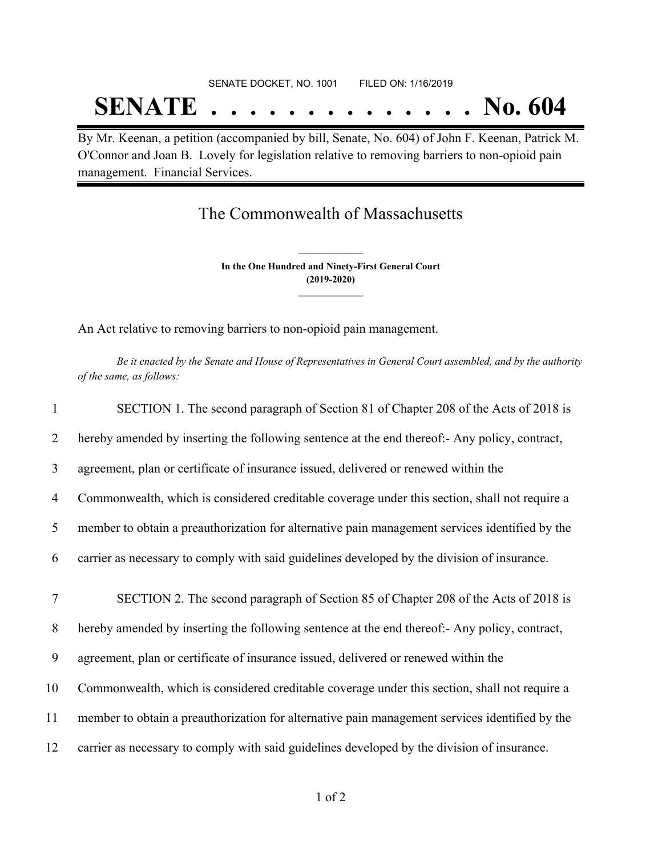# SENATE DOCKET, NO. 1001 FILED ON: 1/16/2019 **SENATE . . . . . . . . . . . . . . No. 604**

By Mr. Keenan, a petition (accompanied by bill, Senate, No. 604) of John F. Keenan, Patrick M. O'Connor and Joan B. Lovely for legislation relative to removing barriers to non-opioid pain management. Financial Services.

## The Commonwealth of Massachusetts

**In the One Hundred and Ninety-First General Court (2019-2020) \_\_\_\_\_\_\_\_\_\_\_\_\_\_\_**

**\_\_\_\_\_\_\_\_\_\_\_\_\_\_\_**

An Act relative to removing barriers to non-opioid pain management.

Be it enacted by the Senate and House of Representatives in General Court assembled, and by the authority *of the same, as follows:*

| $\mathbf{1}$   | SECTION 1. The second paragraph of Section 81 of Chapter 208 of the Acts of 2018 is            |
|----------------|------------------------------------------------------------------------------------------------|
| 2              | hereby amended by inserting the following sentence at the end thereof:- Any policy, contract,  |
| 3              | agreement, plan or certificate of insurance issued, delivered or renewed within the            |
| $\overline{4}$ | Commonwealth, which is considered creditable coverage under this section, shall not require a  |
| 5              | member to obtain a preauthorization for alternative pain management services identified by the |
| 6              | carrier as necessary to comply with said guidelines developed by the division of insurance.    |
| 7              | SECTION 2. The second paragraph of Section 85 of Chapter 208 of the Acts of 2018 is            |
| 8              | hereby amended by inserting the following sentence at the end thereof:- Any policy, contract,  |
| 9              | agreement, plan or certificate of insurance issued, delivered or renewed within the            |
| 10             | Commonwealth, which is considered creditable coverage under this section, shall not require a  |
|                |                                                                                                |
| 11             | member to obtain a preauthorization for alternative pain management services identified by the |
| 12             | carrier as necessary to comply with said guidelines developed by the division of insurance.    |